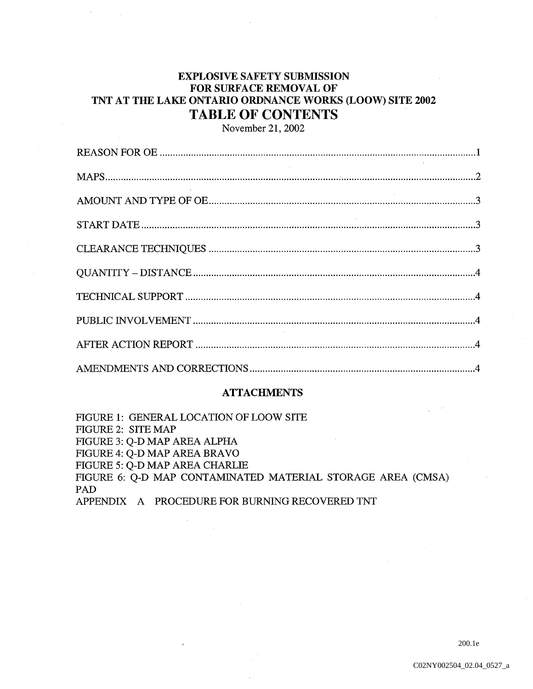# EXPLOSIVE SAFETY SUBMISSION FOR SURFACE REMOVAL OF TNT AT THE LAKE ONTARIO ORDNANCE WORKS (LOOW) SITE 2002 TABLE OF CONTENTS

November 21, 2002

## **ATTACHMENTS**

FIGURE 1: GENERAL LOCATION OF LOOW SITE FIGURE 2: SITE MAP FIGURE 3: Q-D MAP AREA ALPHA FIGURE 4: Q-D MAP AREA BRAVO FIGURE 5: Q-D MAP AREA CHARLIE FIGURE 6: Q-D MAP CONTAMINATED MATERIAL STORAGE AREA (CMSA) PAD APPENDIX A PROCEDURE FOR BURNING RECOVERED TNT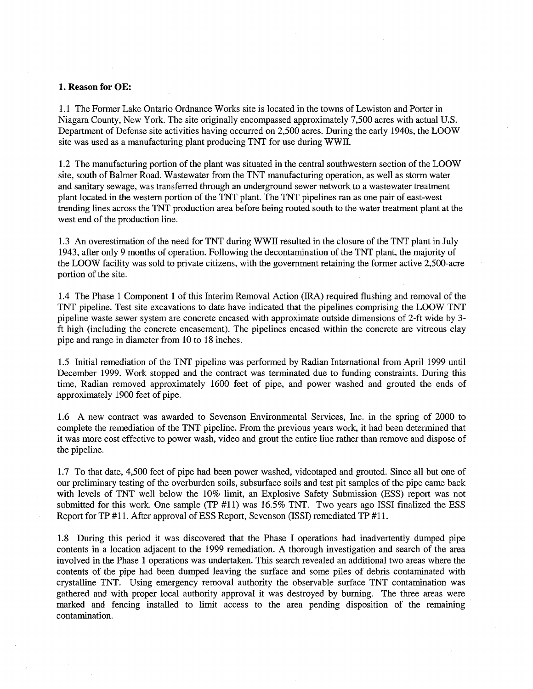#### 1. Reason for OE:

1.1 The Former Lake Ontario Ordnance Works site is located in the towns of Lewiston and Porter in Niagara County, New York. The site originally encompassed approximately 7,500 acres with actual U.S. Department of Defense site activities having occurred on 2,500 acres. During the early 1940s, the LOOW site was used as a manufacturing plant producing TNT for use during WWII.

1.2 The manufacturing portion of the plant was situated in the central southwestern section of the LOOW site, south of Balmer Road. Wastewater from the TNT manufacturing operation, as well as storm water and sanitary sewage, was transferred through an underground sewer network to a wastewater treatment plant located in the western portion of the TNT plant. The TNT pipelines ran as one pair of east-west trending lines across the TNT production area before being routed south to the water treatment plant at the west end of the production line

1.3 An overestimation of the need for TNT during WWII resulted in the closure of the TNT plant in July 1943, after only 9 months of operation. Following the decontamination of the TNT plant, the majority of the LOOW facility was sold to private citizens, with the government retaining the former active 2,500-acre portion of the site

1.4 The Phase 1 Component 1 of this Interim Removal Action (IRA) required flushing and removal of the TNT pipeline. Test site excavations to date have indicated that the pipelines comprising the LOOW TNT pipeline waste sewer system are concrete encased with approximate outside dimensions of 2-ft wide by 3 ft high (including the concrete encasement). The pipelines encased within the concrete are vitreous clay pipe and range in diameter from <sup>10</sup> to <sup>18</sup> inches

1.5 Initial remediation of the TNT pipeline was performed by Radian International from April <sup>1999</sup> until December 1999. Work stopped and the contract was terminated due to funding constraints. During this time, Radian removed approximately 1600 feet of pipe, and power washed and grouted the ends of approximately <sup>1900</sup> feet of pipe

1.6 A new contract was awarded to Sevenson Environmental Services, Inc. in the spring of 2000 to complete the remediation of the TNT pipeline. From the previous years work, it had been determined that it was more cost effective to power wash, video and grout the entire line rather than remove and dispose of the pipeline

1.7 To that date, 4,500 feet of pipe had been power washed, videotaped and grouted. Since all but one of our preliminary testing of the overburden soils, subsurface soils and test pit samples of the pipe came back with levels of TNT well below the 10% limit, an Explosive Safety Submission (ESS) report was not submitted for this work. One sample (TP  $#11$ ) was  $16.5\%$  TNT. Two years ago ISSI finalized the ESS Report for  $TP \#11$ . After approval of ESS Report, Sevenson (ISSI) remediated  $TP \#11$ .

1.8 During this period it was discovered that the Phase I operations had inadvertently dumped pipe contents in a location adjacent to the 1999 remediation. A thorough investigation and search of the area involved in the Phase 1 operations was undertaken. This search revealed an additional two areas where the contents of the pipe had been dumped leaving the surface and some piles of debris contaminated with crystalline TNT. Using emergency removal authority the observable surface TNT contamination was gathered and with proper local authority approval it was destroyed by burning. The three areas were marked and fencing installed to limit access to the area pending disposition of the remaining contamination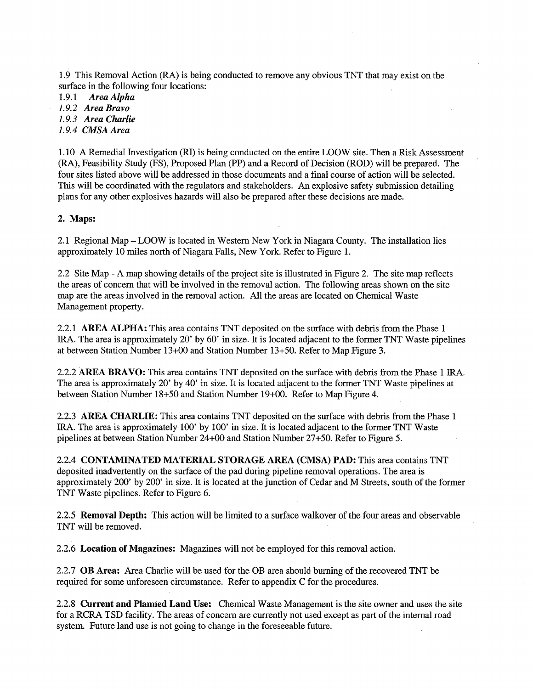1.9 This Removal Action RA is being conducted to remove any obvious TNT that may exist on the surface in the following four locations:

1.9.1 Area Alpha

1.9.2 Area Bravo

1.9.3 Area Charlie

1.9.4 CMSA Area

1.10 Remedial Investigation RI is being conducted on the entire LOOW site Then Risk Assessment (RA), Feasibility Study (FS), Proposed Plan (PP) and a Record of Decision (ROD) will be prepared. The four sites listed above will be addressed in those documents and a final course of action will be selected. This will be coordinated with the regulators and stakeholders. An explosive safety submission detailing plans for any other explosives hazards will also be prepared after these decisions are made

## 2. Maps:

2.1 Regional Map – LOOW is located in Western New York in Niagara County. The installation lies approximately 10 miles north of Niagara Falls, New York. Refer to Figure 1.

2.2 Site Map - A map showing details of the project site is illustrated in Figure 2. The site map reflects the areas of concern that will be involved in the removal action. The following areas shown on the site map are the areas involved in the removal action. All the areas are located on Chemical Waste Management property

2.2.1 AREA ALPHA: This area contains TNT deposited on the surface with debris from the Phase 1 IRA. The area is approximately 20' by 60' in size. It is located adjacent to the former TNT Waste pipelines at between Station Number  $13+00$  and Station Number  $13+50$ . Refer to Map Figure 3.

2.2.2 AREA BRAVO: This area contains TNT deposited on the surface with debris from the Phase 1 IRA. The area is approximately 20' by 40' in size. It is located adjacent to the former TNT Waste pipelines at between Station Number 18+50 and Station Number 19+00. Refer to Map Figure 4.

2.2.3 AREA CHARLIE: This area contains TNT deposited on the surface with debris from the Phase 1 IRA. The area is approximately 100' by 100' in size. It is located adjacent to the former TNT Waste pipelines at between Station Number 24+00 and Station Number 27+50. Refer to Figure 5.

2.2.4 CONTAMINATED MATERIAL STORAGE AREA (CMSA) PAD: This area contains TNT deposited inadvertently on the surface of the pad during pipeline removal operations. The area is approximately 200' by 200' in size. It is located at the junction of Cedar and M Streets, south of the former TNT Waste pipelines. Refer to Figure 6.

2.2.5 Removal Depth: This action will be limited to a surface walkover of the four areas and observable TNT will be removed

2.2.6 Location of Magazines: Magazines will not be employed for this removal action.

2.2.7 OB Area: Area Charlie will be used for the OB area should burning of the recovered TNT be required for some unforeseen circumstance. Refer to appendix C for the procedures.

2.2.8 Current and Planned Land Use: Chemical Waste Management is the site owner and uses the site for a RCRA TSD facility. The areas of concern are currently not used except as part of the internal road system. Future land use is not going to change in the foreseeable future.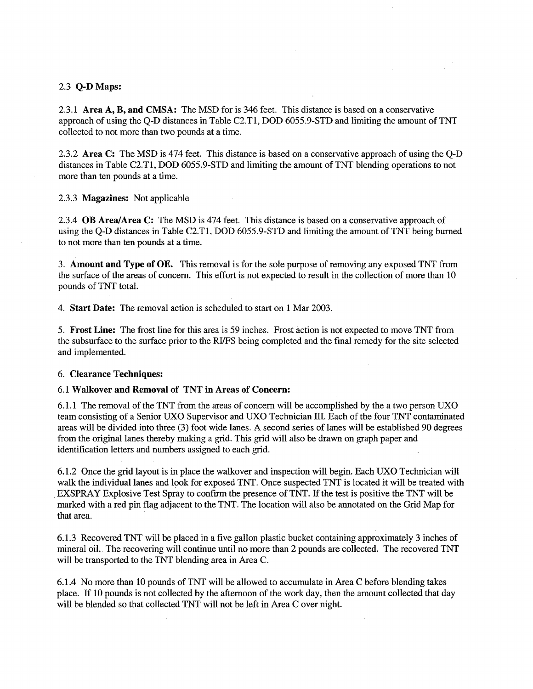#### 2.3 Q-D Maps

2.3.1 Area  $A$ ,  $B$ , and CMSA: The MSD for is 346 feet. This distance is based on a conservative approach of using the Q-D distances in Table C2.T1, DOD 6055.9-STD and limiting the amount of TNT collected to not more than two pounds at a time.

2.3.2 Area C: The MSD is 474 feet. This distance is based on a conservative approach of using the Q-D distances in Table C2.T1, DOD 6055.9-STD and limiting the amount of TNT blending operations to not more than ten pounds at a time.

#### 2.3.3 Magazines: Not applicable

2.3.4 OB Area/Area C: The MSD is 474 feet. This distance is based on a conservative approach of using the Q-D distances in Table C2.T1, DOD 6055.9-STD and limiting the amount of TNT being burned to not more than ten pounds at a time.

3. Amount and Type of OE. This removal is for the sole purpose of removing any exposed TNT from the surface of the areas of concern. This effort is not expected to result in the collection of more than 10 pounds of TNT total

4. **Start Date:** The removal action is scheduled to start on 1 Mar 2003.

5. Frost Line: The frost line for this area is 59 inches. Frost action is not expected to move TNT from the subsurface to the surface prior to the RIJFS being completed and the final remedy for the site selected and implemented

#### 6. Clearance Techniques:

#### 6.1 Walkover and Removal of TNT in Areas of Concern

6.1.1 The removal of the TNT from the areas of concern will be accomplished by the a two person UXO team consisting of a Senior UXO Supervisor and UXO Technician III. Each of the four TNT contaminated areas will be divided into three (3) foot wide lanes. A second series of lanes will be established 90 degrees from the original lanes thereby making a grid. This grid will also be drawn on graph paper and identification letters and numbers assigned to each grid.

6.1.2 Once the grid layout is in place the walkover and inspection will begin Each UXO Technician will walk the individual lanes and look for exposed TNT. Once suspected TNT is located it will be treated with EXSPRAY Explosive Test Spray to confirm the presence of TNT. If the test is positive the TNT will be marked with a red pin flag adjacent to the TNT. The location will also be annotated on the Grid Map for that area

6.1.3 Recovered TNT will be placed in a five gallon plastic bucket containing approximately 3 inches of mineral oil. The recovering will continue until no more than 2 pounds are collected. The recovered TNT will be transported to the TNT blending area in Area C.

6.1.4 No more than 10 pounds of TNT will be allowed to accumulate in Area C before blending takes place. If 10 pounds is not collected by the afternoon of the work day, then the amount collected that day will be blended so that collected TNT will not be left in Area C over night.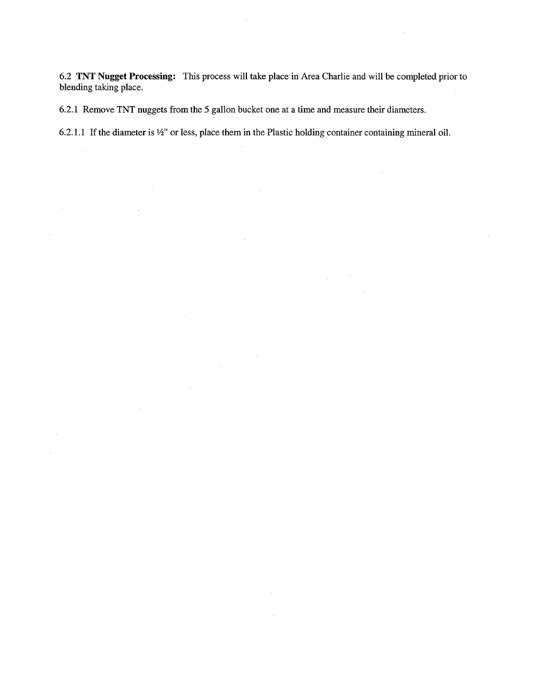6.2 TNT Nugget Processing: This process will take place in Area Charlie and will be completed prior to blending taking place.

6.2.1 Remove TNT nuggets from the 5 gallon bucket one at a time and measure their diameters.

6.2.1.1 If the diameter is  $\frac{1}{2}$ " or less, place them in the Plastic holding container containing mineral oil.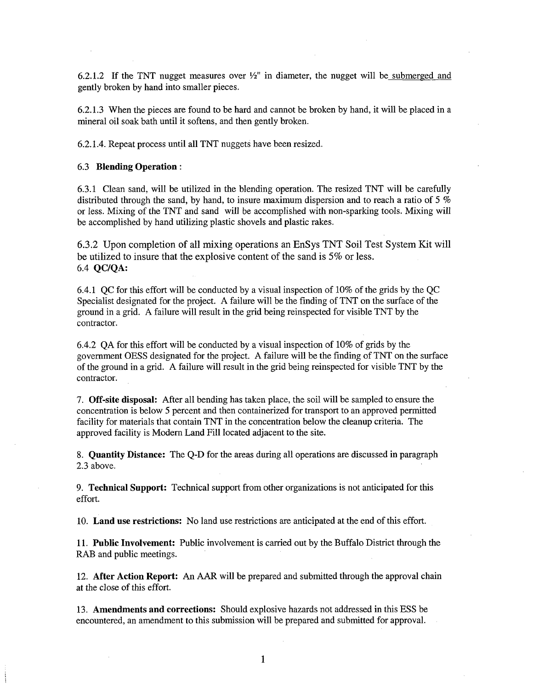6.2.1.2 If the TNT nugget measures over  $\frac{1}{2}$ " in diameter, the nugget will be submerged and gently broken by hand into smaller pieces

6.2.1.3 When the pieces are found to be hard and cannot be broken by hand, it will be placed in a mineral oil soak bath until it softens, and then gently broken.

6.2.1.4 Repeat process until all TNT nuggets have been resized

#### 6.3 Blending Operation

6.3.1 Clean sand, will be utilized in the blending operation. The resized TNT will be carefully distributed through the sand, by hand, to insure maximum dispersion and to reach a ratio of 5  $\%$ or less Mixing of the TNT and sand will be accomplished with non-sparking tools Mixing will be accomplished by hand utilizing plastic shovels and plastic rakes

6.3.2 Upon completion of all mixing operations an EnSys TNT Soil Test System Kit will be utilized to insure that the explosive content of the sand is 5% or less 6.4 QC/QA

6.4.1 QC for this effort will be conducted by a visual inspection of  $10\%$  of the grids by the QC Specialist designated for the project. A failure will be the finding of TNT on the surface of the ground in a grid. A failure will result in the grid being reinspected for visible TNT by the contractor

6.4.2 QA for this effort will be conducted by a visual inspection of  $10\%$  of grids by the government OESS designated for the project. A failure will be the finding of TNT on the surface of the ground in a grid. A failure will result in the grid being reinspected for visible TNT by the contractor

7. Off-site disposal: After all bending has taken place, the soil will be sampled to ensure the concentration is below 5 percent and then containerized for transport to an approved permitted facility for materials that contain TNT in the concentration below the cleanup criteria. The approved facility is Modem Land Fill located adjacent to the site

8. Quantity Distance: The Q-D for the areas during all operations are discussed in paragraph 2.3 above

9. Technical Support: Technical support from other organizations is not anticipated for this effort

10. Land use restrictions: No land use restrictions are anticipated at the end of this effort.

11. Public Involvement: Public involvement is carried out by the Buffalo District through the RAB and public meetings

12. After Action Report: An AAR will be prepared and submitted through the approval chain at the close of this effort

13. Amendments and corrections: Should explosive hazards not addressed in this ESS be encountered, an amendment to this submission will be prepared and submitted for approval.

 $\mathbf{1}$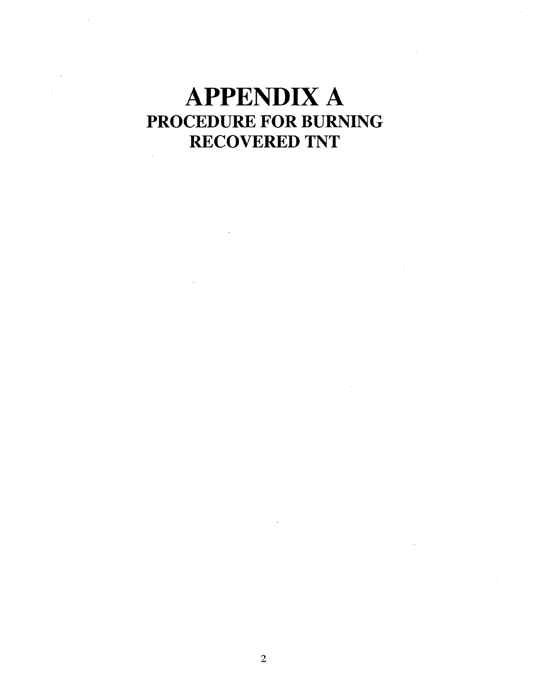# APPENDIX PROCEDURE FOR BURNING RECOVERED TNT $\hat{\mathcal{A}}$

 $\overline{2}$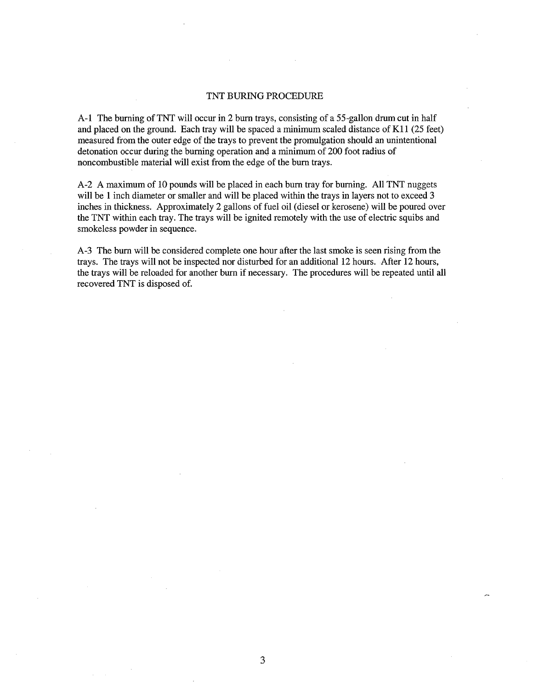#### TNT BURING PROCEDURE

A-1 The burning of TNT will occur in 2 burn trays, consisting of a 55-gallon drum cut in half and placed on the ground. Each tray will be spaced a minimum scaled distance of K11 (25 feet) measured fromthe outer edge of the trays to prevent the promulgation should an unintentional detonation occur during the burning operation and a minimum of 200 foot radius of noncombustible material will exist from the edge of the burn trays

A-2 A maximum of 10 pounds will be placed in each burn tray for burning. All TNT nuggets will be 1 inch diameter or smaller and will be placed within the trays in layers not to exceed 3 inches in thickness. Approximately 2 gallons of fuel oil (diesel or kerosene) will be poured over the TNT within each tray. The trays will be ignited remotely with the use of electric squibs and smokeless powder in sequence

A-3 The burn will be considered complete one hour after the last smoke is seen rising from the trays. The trays will not be inspected nor disturbed for an additional 12 hours. After 12 hours, the trays will be reloaded for another burn if necessary. The procedures will be repeated until all recovered TNT is disposed of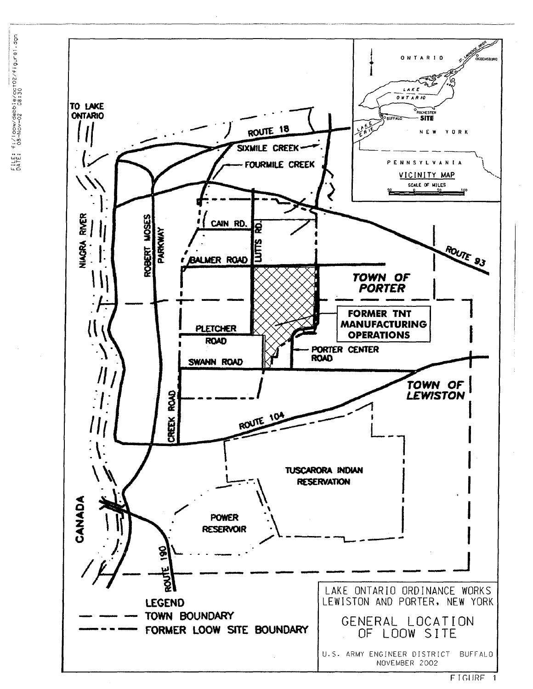



 $FIGIIRF 1$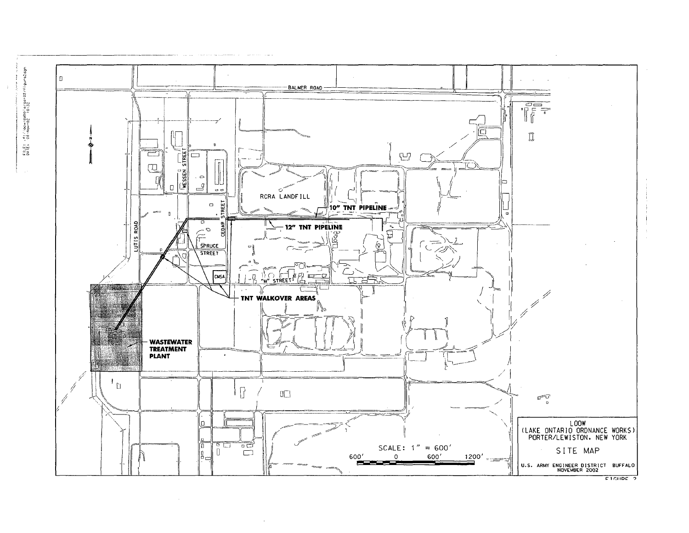

FILE: H:/loow/cabbie/oct02/figure2dgn<br>DATE: D8-Nov-02 10:32

Ť.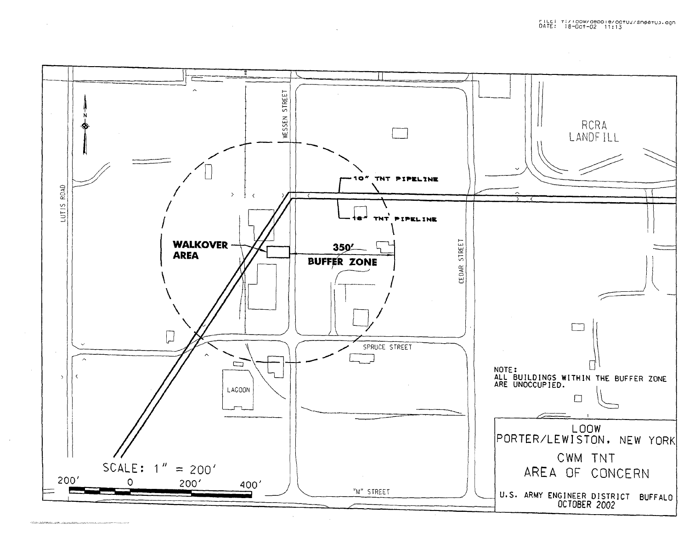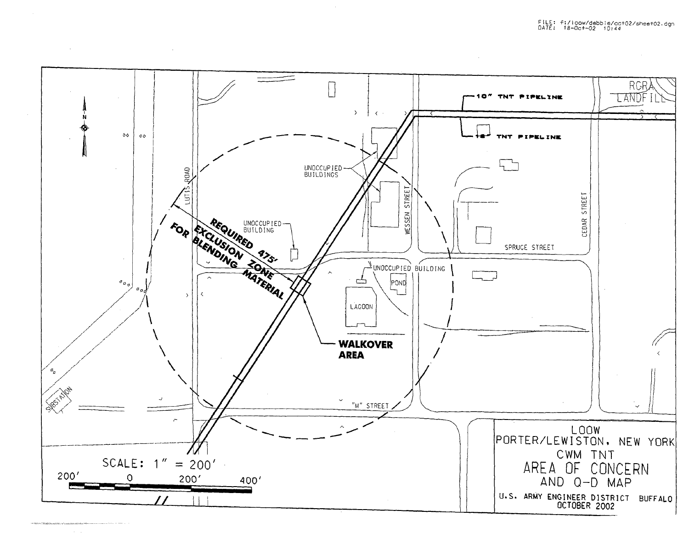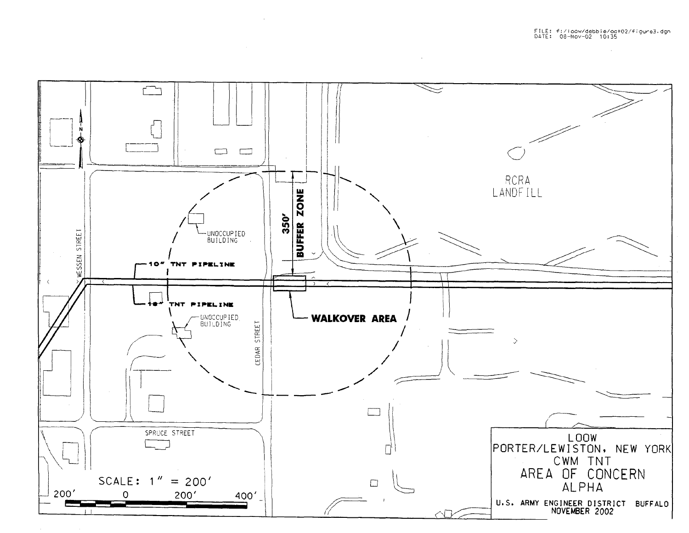